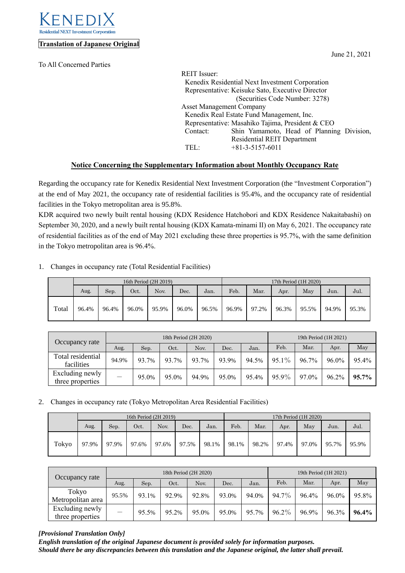

## **Translation of Japanese Original**

To All Concerned Parties

| REIT Issuer:                    |                                                  |
|---------------------------------|--------------------------------------------------|
|                                 | Kenedix Residential Next Investment Corporation  |
|                                 | Representative: Keisuke Sato, Executive Director |
|                                 | (Securities Code Number: 3278)                   |
| <b>Asset Management Company</b> |                                                  |
|                                 | Kenedix Real Estate Fund Management, Inc.        |
|                                 | Representative: Masahiko Tajima, President & CEO |
| Contact:                        | Shin Yamamoto, Head of Planning Division,        |
|                                 | <b>Residential REIT Department</b>               |
| TEL:                            | $+81-3-5157-6011$                                |
|                                 |                                                  |

## **Notice Concerning the Supplementary Information about Monthly Occupancy Rate**

Regarding the occupancy rate for Kenedix Residential Next Investment Corporation (the "Investment Corporation") at the end of May 2021, the occupancy rate of residential facilities is 95.4%, and the occupancy rate of residential facilities in the Tokyo metropolitan area is 95.8%.

KDR acquired two newly built rental housing (KDX Residence Hatchobori and KDX Residence Nakaitabashi) on September 30, 2020, and a newly built rental housing (KDX Kamata-minami II) on May 6, 2021. The occupancy rate of residential facilities as of the end of May 2021 excluding these three properties is 95.7%, with the same definition in the Tokyo metropolitan area is 96.4%.

| 1. |  | Changes in occupancy rate (Total Residential Facilities) |  |
|----|--|----------------------------------------------------------|--|
|    |  |                                                          |  |

|       |       |       |       | 16th Period (2H 2019) |       | 17th Period (1H 2020) |       |       |       |       |       |       |
|-------|-------|-------|-------|-----------------------|-------|-----------------------|-------|-------|-------|-------|-------|-------|
|       | Aug.  | Sep.  | Oct.  | Nov.                  | Dec.  | Jan.                  | Feb.  | Mar.  | Apr.  | May   | Jun.  | Jul.  |
| Total | 96.4% | 96.4% | 96.0% | 95.9%                 | 96.0% | 96.5%                 | 96.9% | 97.2% | 96.3% | 95.5% | 94.9% | 95.3% |

| Occupancy rate                      |       |       | 18th Period (2H 2020) | 19th Period (1H 2021) |       |       |          |       |       |       |
|-------------------------------------|-------|-------|-----------------------|-----------------------|-------|-------|----------|-------|-------|-------|
|                                     | Aug.  | Sep.  | Oct.                  | Nov.                  | Dec.  | Jan.  | Feb.     | Mar.  | Apr.  | May   |
| Total residential<br>facilities     | 94.9% | 93.7% | 93.7%                 | 93.7%                 | 93.9% | 94.5% | $95.1\%$ | 96.7% | 96.0% | 95.4% |
| Excluding newly<br>three properties |       | 95.0% | 95.0%                 | 94.9%                 | 95.0% | 95.4% | 95.9%    | 97.0% | 96.2% | 95.7% |

2. Changes in occupancy rate (Tokyo Metropolitan Area Residential Facilities)

|       |       |       |       | 16th Period (2H 2019) |       | 17th Period (1H 2020) |       |       |       |       |       |       |
|-------|-------|-------|-------|-----------------------|-------|-----------------------|-------|-------|-------|-------|-------|-------|
|       | Aug.  | Sep.  | Oct.  | Nov.                  | Dec.  | Jan.                  | Feb.  | Mar.  | Apr.  | May   | Jun.  | Jul.  |
| Tokyo | 97.9% | 97.9% | 97.6% | 97.6%                 | 97.5% | 98.1%                 | 98.1% | 98.2% | 97.4% | 97.0% | 95.7% | 95.9% |

| Occupancy rate                      |       |       |       | 18th Period (2H 2020) | 19th Period (1H 2021) |       |          |       |       |       |
|-------------------------------------|-------|-------|-------|-----------------------|-----------------------|-------|----------|-------|-------|-------|
|                                     | Aug.  | Sep.  | Oct.  | Nov.                  | Dec.                  | Jan.  | Feb.     | Mar.  | Apr.  | May   |
| Tokyo<br>Metropolitan area          | 95.5% | 93.1% | 92.9% | 92.8%                 | 93.0%                 | 94.0% | $94.7\%$ | 96.4% | 96.0% | 95.8% |
| Excluding newly<br>three properties | __    | 95.5% | 95.2% | 95.0%                 | 95.0%                 | 95.7% | $96.2\%$ | 96.9% | 96.3% | 96.4% |

## *[Provisional Translation Only]*

*English translation of the original Japanese document is provided solely for information purposes. Should there be any discrepancies between this translation and the Japanese original, the latter shall prevail.*